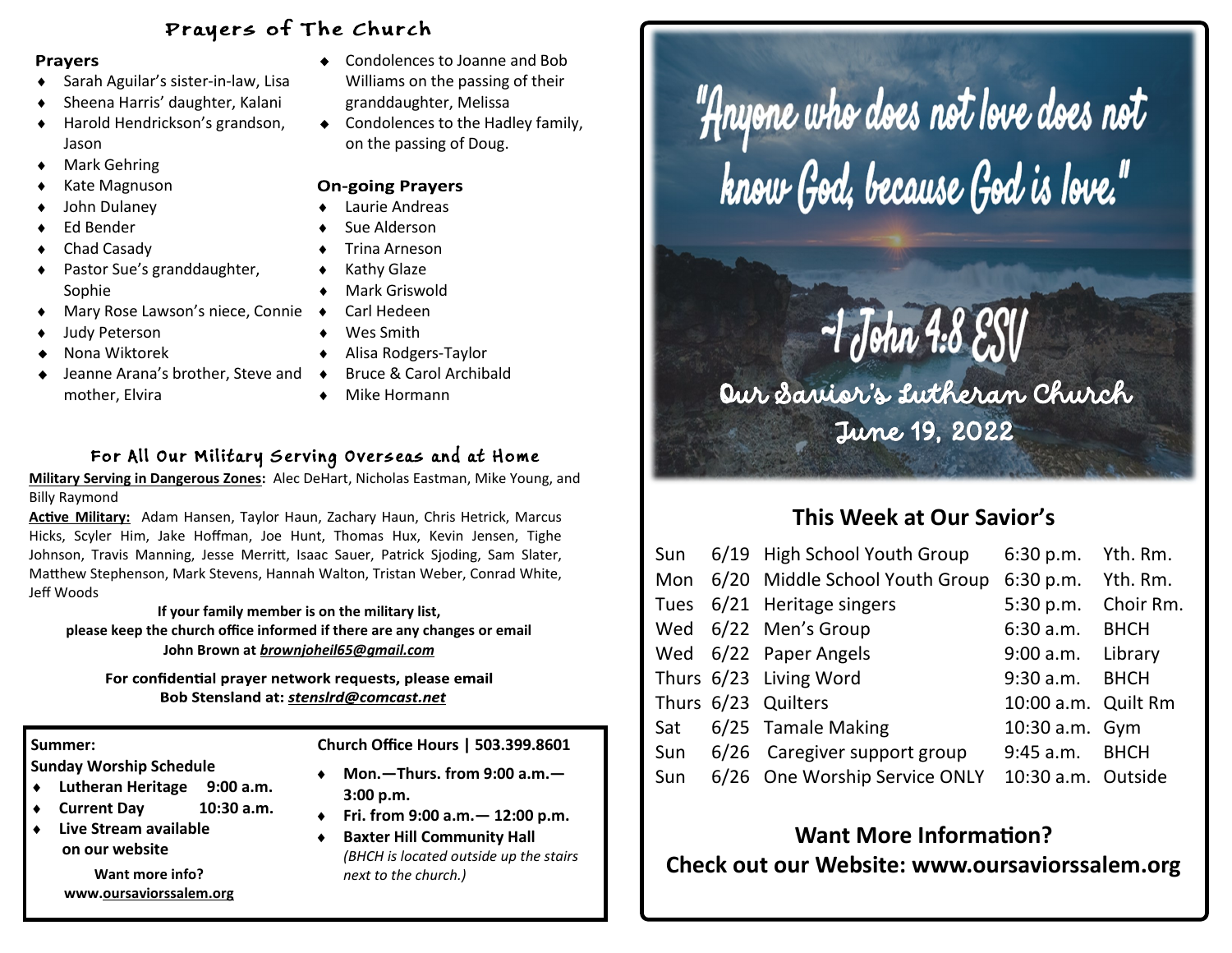#### Prayers of The Church

#### **Prayers**

- Sarah Aguilar's sister-in-law, Lisa
- Sheena Harris' daughter, Kalani
- Harold Hendrickson's grandson, Jason
- ◆ Mark Gehring
- Kate Magnuson
- John Dulaney
- Ed Bender
- Chad Casady
- Pastor Sue's granddaughter, Sophie
- Mary Rose Lawson's niece, Connie
- Judy Peterson
- Nona Wiktorek
- Jeanne Arana's brother, Steve and mother, Elvira
- Condolences to Joanne and Bob Williams on the passing of their granddaughter, Melissa
- ◆ Condolences to the Hadley family, on the passing of Doug.

#### **On-going Prayers**

- Laurie Andreas
- Sue Alderson
- Trina Arneson
- ◆ Kathy Glaze
- Mark Griswold
- Carl Hedeen
- Wes Smith
- Alisa Rodgers-Taylor
- Bruce & Carol Archibald
	- Mike Hormann

#### For All Our Military Serving Overseas and at Home

**Military Serving in Dangerous Zones:** Alec DeHart, Nicholas Eastman, Mike Young, and Billy Raymond

**Active Military:** Adam Hansen, Taylor Haun, Zachary Haun, Chris Hetrick, Marcus Hicks, Scyler Him, Jake Hoffman, Joe Hunt, Thomas Hux, Kevin Jensen, Tighe Johnson, Travis Manning, Jesse Merritt, Isaac Sauer, Patrick Sjoding, Sam Slater, Matthew Stephenson, Mark Stevens, Hannah Walton, Tristan Weber, Conrad White, Jeff Woods

**If your family member is on the military list, please keep the church office informed if there are any changes or email John Brown at** *brownjoheil65@gmail.com*

For confidential prayer network requests, please email Bob Stensland at: stensIrd@comcast.net

**Sunday Worship Schedule** 

- **Lutheran Heritage 9:00 a.m.**
- **Current Day 10:30 a.m.**
- **Live Stream available on our website**

**Want more info? www.oursaviorssalem.org**

#### **Summer: Church Office Hours | 503.399.8601**

- **Mon.—Thurs. from 9:00 a.m.— 3:00 p.m.**
- **Fri. from 9:00 a.m.— 12:00 p.m.**
- **Baxter Hill Community Hall**  *(BHCH is located outside up the stairs next to the church.)*

"Anyone who does not love does not<br>"know God, because God is love."

# $-1$  John 4:8 ESV

Our Savior's Lutheran Church June 19, 2022

# **This Week at Our Savior's**

|     | Sun 6/19 High School Youth Group                 | 6:30 p.m. Yth. Rm.  |           |
|-----|--------------------------------------------------|---------------------|-----------|
|     | Mon 6/20 Middle School Youth Group               | 6:30 p.m. Yth. Rm.  |           |
|     | Tues 6/21 Heritage singers                       | 5:30 p.m.           | Choir Rm. |
|     | Wed 6/22 Men's Group                             | 6:30 a.m. BHCH      |           |
|     | Wed 6/22 Paper Angels                            | 9:00 a.m. Library   |           |
|     | Thurs 6/23 Living Word                           | 9:30 a.m. BHCH      |           |
|     | Thurs 6/23 Quilters                              | 10:00 a.m. Quilt Rm |           |
|     | Sat 6/25 Tamale Making                           | 10:30 a.m. Gym      |           |
|     | Sun 6/26 Caregiver support group                 | 9:45 a.m. BHCH      |           |
| Sun | 6/26 One Worship Service ONLY 10:30 a.m. Outside |                     |           |

## **Want More Information? Check out our Website: www.oursaviorssalem.org**